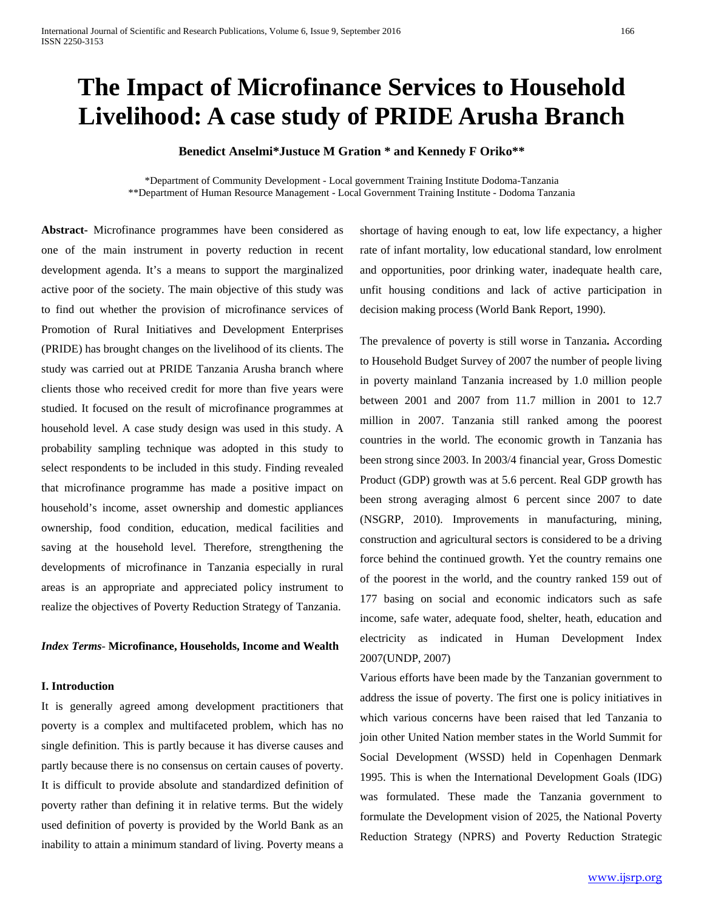# **The Impact of Microfinance Services to Household Livelihood: A case study of PRIDE Arusha Branch**

## **Benedict Anselmi\*Justuce M Gration \* and Kennedy F Oriko\*\***

\*Department of Community Development - Local government Training Institute Dodoma-Tanzania \*\*Department of Human Resource Management - Local Government Training Institute - Dodoma Tanzania

**Abstract-** Microfinance programmes have been considered as one of the main instrument in poverty reduction in recent development agenda. It's a means to support the marginalized active poor of the society. The main objective of this study was to find out whether the provision of microfinance services of Promotion of Rural Initiatives and Development Enterprises (PRIDE) has brought changes on the livelihood of its clients. The study was carried out at PRIDE Tanzania Arusha branch where clients those who received credit for more than five years were studied. It focused on the result of microfinance programmes at household level. A case study design was used in this study. A probability sampling technique was adopted in this study to select respondents to be included in this study. Finding revealed that microfinance programme has made a positive impact on household's income, asset ownership and domestic appliances ownership, food condition, education, medical facilities and saving at the household level. Therefore, strengthening the developments of microfinance in Tanzania especially in rural areas is an appropriate and appreciated policy instrument to realize the objectives of Poverty Reduction Strategy of Tanzania.

### *Index Terms*- **Microfinance, Households, Income and Wealth**

### **I. Introduction**

It is generally agreed among development practitioners that poverty is a complex and multifaceted problem, which has no single definition. This is partly because it has diverse causes and partly because there is no consensus on certain causes of poverty. It is difficult to provide absolute and standardized definition of poverty rather than defining it in relative terms. But the widely used definition of poverty is provided by the World Bank as an inability to attain a minimum standard of living. Poverty means a

shortage of having enough to eat, low life expectancy, a higher rate of infant mortality, low educational standard, low enrolment and opportunities, poor drinking water, inadequate health care, unfit housing conditions and lack of active participation in decision making process (World Bank Report, 1990).

The prevalence of poverty is still worse in Tanzania**.** According to Household Budget Survey of 2007 the number of people living in poverty mainland Tanzania increased by 1.0 million people between 2001 and 2007 from 11.7 million in 2001 to 12.7 million in 2007. Tanzania still ranked among the poorest countries in the world. The economic growth in Tanzania has been strong since 2003. In 2003/4 financial year, Gross Domestic Product (GDP) growth was at 5.6 percent. Real GDP growth has been strong averaging almost 6 percent since 2007 to date (NSGRP, 2010). Improvements in manufacturing, mining, construction and agricultural sectors is considered to be a driving force behind the continued growth. Yet the country remains one of the poorest in the world, and the country ranked 159 out of 177 basing on social and economic indicators such as safe income, safe water, adequate food, shelter, heath, education and electricity as indicated in Human Development Index 2007(UNDP, 2007)

Various efforts have been made by the Tanzanian government to address the issue of poverty. The first one is policy initiatives in which various concerns have been raised that led Tanzania to join other United Nation member states in the World Summit for Social Development (WSSD) held in Copenhagen Denmark 1995. This is when the International Development Goals (IDG) was formulated. These made the Tanzania government to formulate the Development vision of 2025, the National Poverty Reduction Strategy (NPRS) and Poverty Reduction Strategic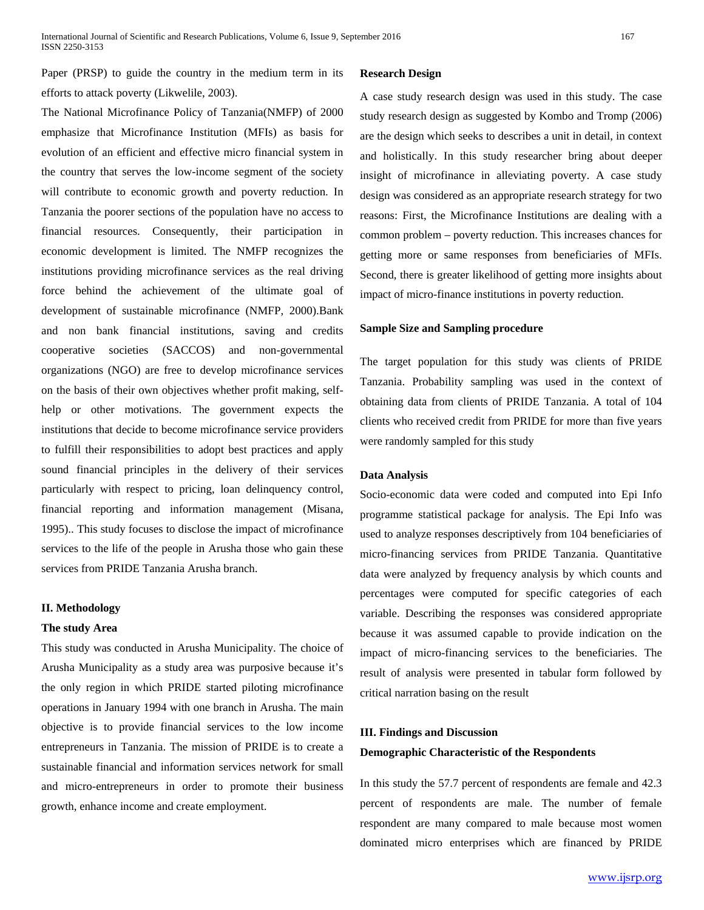Paper (PRSP) to guide the country in the medium term in its efforts to attack poverty (Likwelile, 2003).

The National Microfinance Policy of Tanzania(NMFP) of 2000 emphasize that Microfinance Institution (MFIs) as basis for evolution of an efficient and effective micro financial system in the country that serves the low-income segment of the society will contribute to economic growth and poverty reduction. In Tanzania the poorer sections of the population have no access to financial resources. Consequently, their participation in economic development is limited. The NMFP recognizes the institutions providing microfinance services as the real driving force behind the achievement of the ultimate goal of development of sustainable microfinance (NMFP, 2000).Bank and non bank financial institutions, saving and credits cooperative societies (SACCOS) and non-governmental organizations (NGO) are free to develop microfinance services on the basis of their own objectives whether profit making, selfhelp or other motivations. The government expects the institutions that decide to become microfinance service providers to fulfill their responsibilities to adopt best practices and apply sound financial principles in the delivery of their services particularly with respect to pricing, loan delinquency control, financial reporting and information management (Misana, 1995).. This study focuses to disclose the impact of microfinance services to the life of the people in Arusha those who gain these services from PRIDE Tanzania Arusha branch.

### **II. Methodology**

### **The study Area**

This study was conducted in Arusha Municipality. The choice of Arusha Municipality as a study area was purposive because it's the only region in which PRIDE started piloting microfinance operations in January 1994 with one branch in Arusha. The main objective is to provide financial services to the low income entrepreneurs in Tanzania. The mission of PRIDE is to create a sustainable financial and information services network for small and micro-entrepreneurs in order to promote their business growth, enhance income and create employment.

### **Research Design**

A case study research design was used in this study. The case study research design as suggested by Kombo and Tromp (2006) are the design which seeks to describes a unit in detail, in context and holistically. In this study researcher bring about deeper insight of microfinance in alleviating poverty. A case study design was considered as an appropriate research strategy for two reasons: First, the Microfinance Institutions are dealing with a common problem – poverty reduction. This increases chances for getting more or same responses from beneficiaries of MFIs. Second, there is greater likelihood of getting more insights about impact of micro-finance institutions in poverty reduction.

### **Sample Size and Sampling procedure**

The target population for this study was clients of PRIDE Tanzania. Probability sampling was used in the context of obtaining data from clients of PRIDE Tanzania. A total of 104 clients who received credit from PRIDE for more than five years were randomly sampled for this study

### **Data Analysis**

Socio-economic data were coded and computed into Epi Info programme statistical package for analysis. The Epi Info was used to analyze responses descriptively from 104 beneficiaries of micro-financing services from PRIDE Tanzania. Quantitative data were analyzed by frequency analysis by which counts and percentages were computed for specific categories of each variable. Describing the responses was considered appropriate because it was assumed capable to provide indication on the impact of micro-financing services to the beneficiaries. The result of analysis were presented in tabular form followed by critical narration basing on the result

# **III. Findings and Discussion Demographic Characteristic of the Respondents**

In this study the 57.7 percent of respondents are female and 42.3 percent of respondents are male. The number of female respondent are many compared to male because most women dominated micro enterprises which are financed by PRIDE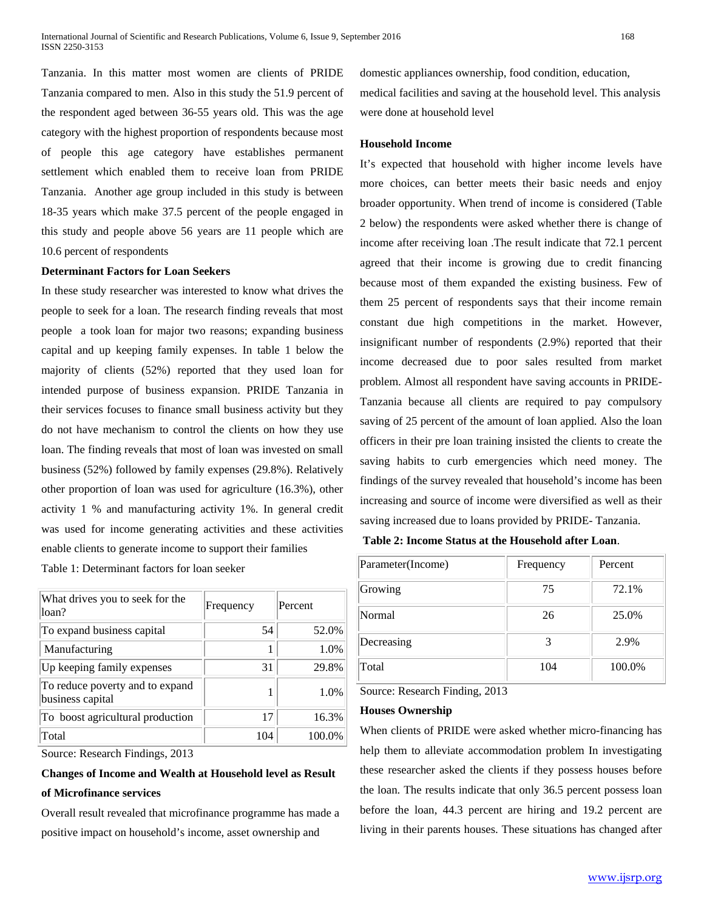Tanzania. In this matter most women are clients of PRIDE Tanzania compared to men. Also in this study the 51.9 percent of the respondent aged between 36-55 years old. This was the age category with the highest proportion of respondents because most of people this age category have establishes permanent settlement which enabled them to receive loan from PRIDE Tanzania. Another age group included in this study is between 18-35 years which make 37.5 percent of the people engaged in this study and people above 56 years are 11 people which are 10.6 percent of respondents

### **Determinant Factors for Loan Seekers**

In these study researcher was interested to know what drives the people to seek for a loan. The research finding reveals that most people a took loan for major two reasons; expanding business capital and up keeping family expenses. In table 1 below the majority of clients (52%) reported that they used loan for intended purpose of business expansion. PRIDE Tanzania in their services focuses to finance small business activity but they do not have mechanism to control the clients on how they use loan. The finding reveals that most of loan was invested on small business (52%) followed by family expenses (29.8%). Relatively other proportion of loan was used for agriculture (16.3%), other activity 1 % and manufacturing activity 1%. In general credit was used for income generating activities and these activities enable clients to generate income to support their families

Table 1: Determinant factors for loan seeker

| What drives you to seek for the<br>loan?            | Frequency | Percent |
|-----------------------------------------------------|-----------|---------|
| To expand business capital                          | 54        | 52.0%   |
| Manufacturing                                       |           | 1.0%    |
| Up keeping family expenses                          | 31        | 29.8%   |
| To reduce poverty and to expand<br>business capital |           | 1.0%    |
| To boost agricultural production                    | 17        | 16.3%   |
| Total                                               | 104       |         |

Source: Research Findings, 2013

# **Changes of Income and Wealth at Household level as Result of Microfinance services**

Overall result revealed that microfinance programme has made a positive impact on household's income, asset ownership and

domestic appliances ownership, food condition, education, medical facilities and saving at the household level. This analysis were done at household level

### **Household Income**

It's expected that household with higher income levels have more choices, can better meets their basic needs and enjoy broader opportunity. When trend of income is considered (Table 2 below) the respondents were asked whether there is change of income after receiving loan .The result indicate that 72.1 percent agreed that their income is growing due to credit financing because most of them expanded the existing business. Few of them 25 percent of respondents says that their income remain constant due high competitions in the market. However, insignificant number of respondents (2.9%) reported that their income decreased due to poor sales resulted from market problem. Almost all respondent have saving accounts in PRIDE-Tanzania because all clients are required to pay compulsory saving of 25 percent of the amount of loan applied. Also the loan officers in their pre loan training insisted the clients to create the saving habits to curb emergencies which need money. The findings of the survey revealed that household's income has been increasing and source of income were diversified as well as their saving increased due to loans provided by PRIDE- Tanzania.

**Table 2: Income Status at the Household after Loan**.

| Parameter(Income) | Frequency | Percent |
|-------------------|-----------|---------|
| Growing           | 75        | 72.1%   |
| Normal            | 26        | 25.0%   |
| Decreasing        |           | 2.9%    |
| Total             | 104       | 100.0%  |

Source: Research Finding, 2013

### **Houses Ownership**

When clients of PRIDE were asked whether micro-financing has help them to alleviate accommodation problem In investigating these researcher asked the clients if they possess houses before the loan. The results indicate that only 36.5 percent possess loan before the loan, 44.3 percent are hiring and 19.2 percent are living in their parents houses. These situations has changed after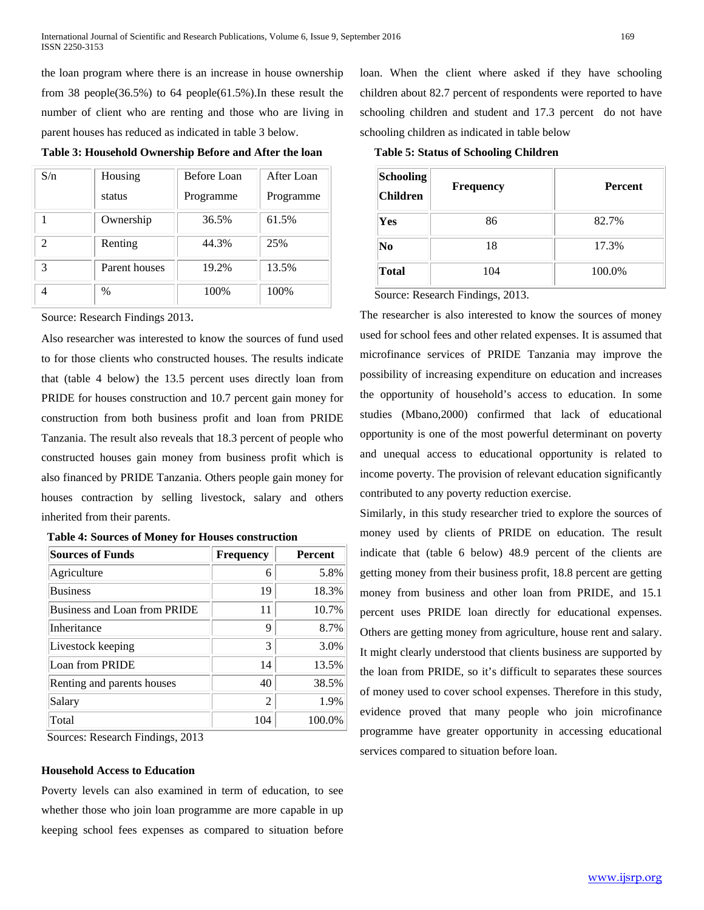the loan program where there is an increase in house ownership from 38 people(36.5%) to 64 people(61.5%).In these result the number of client who are renting and those who are living in parent houses has reduced as indicated in table 3 below.

| S/n                         | Housing       | <b>Before Loan</b> | After Loan |
|-----------------------------|---------------|--------------------|------------|
|                             | status        | Programme          | Programme  |
|                             | Ownership     | 36.5%              | 61.5%      |
| $\mathcal{D}_{\mathcal{L}}$ | Renting       | 44.3%              | 25%        |
| 3                           | Parent houses | 19.2%              | 13.5%      |
|                             | $\%$          | 100%               | 100%       |

**Table 3: Household Ownership Before and After the loan**

Source: Research Findings 2013.

Also researcher was interested to know the sources of fund used to for those clients who constructed houses. The results indicate that (table 4 below) the 13.5 percent uses directly loan from PRIDE for houses construction and 10.7 percent gain money for construction from both business profit and loan from PRIDE Tanzania. The result also reveals that 18.3 percent of people who constructed houses gain money from business profit which is also financed by PRIDE Tanzania. Others people gain money for houses contraction by selling livestock, salary and others inherited from their parents.

|--|

| <b>Sources of Funds</b>      | <b>Frequency</b> | <b>Percent</b> |
|------------------------------|------------------|----------------|
| Agriculture                  | 6                | 5.8%           |
| <b>Business</b>              | 19               | 18.3%          |
| Business and Loan from PRIDE | 11               | 10.7%          |
| Inheritance                  | Q                | 8.7%           |
| Livestock keeping            | 3                | 3.0%           |
| Loan from PRIDE              | 14               | 13.5%          |
| Renting and parents houses   | 40               | 38.5%          |
| Salary                       | 2                | 1.9%           |
| Total                        | 104              | 100.0%         |

Sources: Research Findings, 2013

### **Household Access to Education**

Poverty levels can also examined in term of education, to see whether those who join loan programme are more capable in up keeping school fees expenses as compared to situation before loan. When the client where asked if they have schooling children about 82.7 percent of respondents were reported to have schooling children and student and 17.3 percent do not have schooling children as indicated in table below

 **Table 5: Status of Schooling Children**

| Schooling<br><b>Children</b> | <b>Frequency</b> | <b>Percent</b> |
|------------------------------|------------------|----------------|
| Yes                          | 86               | 82.7%          |
| N <sub>0</sub>               | 18               | 17.3%          |
| Total                        | 104              | 100.0%         |

Source: Research Findings, 2013.

The researcher is also interested to know the sources of money used for school fees and other related expenses. It is assumed that microfinance services of PRIDE Tanzania may improve the possibility of increasing expenditure on education and increases the opportunity of household's access to education. In some studies (Mbano,2000) confirmed that lack of educational opportunity is one of the most powerful determinant on poverty and unequal access to educational opportunity is related to income poverty. The provision of relevant education significantly contributed to any poverty reduction exercise.

Similarly, in this study researcher tried to explore the sources of money used by clients of PRIDE on education. The result indicate that (table 6 below) 48.9 percent of the clients are getting money from their business profit, 18.8 percent are getting money from business and other loan from PRIDE, and 15.1 percent uses PRIDE loan directly for educational expenses. Others are getting money from agriculture, house rent and salary. It might clearly understood that clients business are supported by the loan from PRIDE, so it's difficult to separates these sources of money used to cover school expenses. Therefore in this study, evidence proved that many people who join microfinance programme have greater opportunity in accessing educational services compared to situation before loan.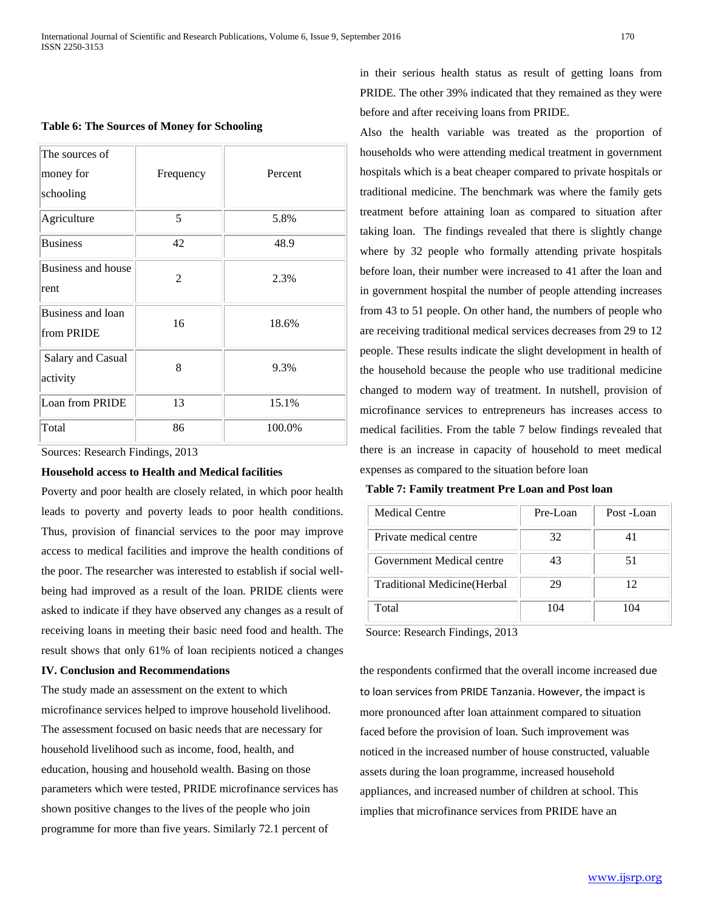### **Table 6: The Sources of Money for Schooling**

| The sources of<br>money for<br>schooling | Frequency | Percent |
|------------------------------------------|-----------|---------|
| Agriculture                              | 5         | 5.8%    |
| <b>Business</b>                          | 42        | 48.9    |
| Business and house<br>rent               | 2         | 2.3%    |
| Business and loan<br>from PRIDE          | 16        | 18.6%   |
| Salary and Casual<br>activity            | 8         | 9.3%    |
| Loan from PRIDE                          | 13        | 15.1%   |
| Total                                    | 86        | 100.0%  |

Sources: Research Findings, 2013

### **Household access to Health and Medical facilities**

Poverty and poor health are closely related, in which poor health leads to poverty and poverty leads to poor health conditions. Thus, provision of financial services to the poor may improve access to medical facilities and improve the health conditions of the poor. The researcher was interested to establish if social wellbeing had improved as a result of the loan. PRIDE clients were asked to indicate if they have observed any changes as a result of receiving loans in meeting their basic need food and health. The result shows that only 61% of loan recipients noticed a changes

### **IV. Conclusion and Recommendations**

The study made an assessment on the extent to which microfinance services helped to improve household livelihood. The assessment focused on basic needs that are necessary for household livelihood such as income, food, health, and education, housing and household wealth. Basing on those parameters which were tested, PRIDE microfinance services has shown positive changes to the lives of the people who join programme for more than five years. Similarly 72.1 percent of

in their serious health status as result of getting loans from PRIDE. The other 39% indicated that they remained as they were before and after receiving loans from PRIDE.

Also the health variable was treated as the proportion of households who were attending medical treatment in government hospitals which is a beat cheaper compared to private hospitals or traditional medicine. The benchmark was where the family gets treatment before attaining loan as compared to situation after taking loan. The findings revealed that there is slightly change where by 32 people who formally attending private hospitals before loan, their number were increased to 41 after the loan and in government hospital the number of people attending increases from 43 to 51 people. On other hand, the numbers of people who are receiving traditional medical services decreases from 29 to 12 people. These results indicate the slight development in health of the household because the people who use traditional medicine changed to modern way of treatment. In nutshell, provision of microfinance services to entrepreneurs has increases access to medical facilities. From the table 7 below findings revealed that there is an increase in capacity of household to meet medical expenses as compared to the situation before loan

 **Table 7: Family treatment Pre Loan and Post loan**

| <b>Medical Centre</b>        | Pre-Loan | Post -Loan |
|------------------------------|----------|------------|
| Private medical centre       | 32       | 41         |
| Government Medical centre    | 43       | 51         |
| Traditional Medicine (Herbal | 29       | 12         |
| Total                        | 104      | 104        |

Source: Research Findings, 2013

the respondents confirmed that the overall income increased due to loan services from PRIDE Tanzania. However, the impact is more pronounced after loan attainment compared to situation faced before the provision of loan. Such improvement was noticed in the increased number of house constructed, valuable assets during the loan programme, increased household appliances, and increased number of children at school. This implies that microfinance services from PRIDE have an